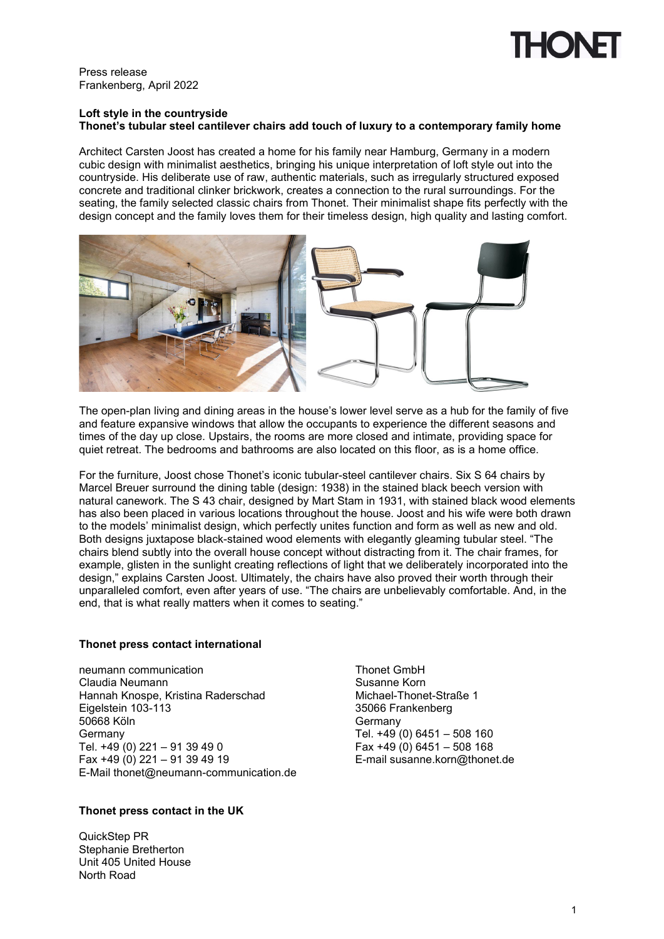

Press release Frankenberg, April 2022

## **Loft style in the countryside Thonet's tubular steel cantilever chairs add touch of luxury to a contemporary family home**

Architect Carsten Joost has created a home for his family near Hamburg, Germany in a modern cubic design with minimalist aesthetics, bringing his unique interpretation of loft style out into the countryside. His deliberate use of raw, authentic materials, such as irregularly structured exposed concrete and traditional clinker brickwork, creates a connection to the rural surroundings. For the seating, the family selected classic chairs from Thonet. Their minimalist shape fits perfectly with the design concept and the family loves them for their timeless design, high quality and lasting comfort.



The open-plan living and dining areas in the house's lower level serve as a hub for the family of five and feature expansive windows that allow the occupants to experience the different seasons and times of the day up close. Upstairs, the rooms are more closed and intimate, providing space for quiet retreat. The bedrooms and bathrooms are also located on this floor, as is a home office.

For the furniture, Joost chose Thonet's iconic tubular-steel cantilever chairs. Six S 64 chairs by Marcel Breuer surround the dining table (design: 1938) in the stained black beech version with natural canework. The S 43 chair, designed by Mart Stam in 1931, with stained black wood elements has also been placed in various locations throughout the house. Joost and his wife were both drawn to the models' minimalist design, which perfectly unites function and form as well as new and old. Both designs juxtapose black-stained wood elements with elegantly gleaming tubular steel. "The chairs blend subtly into the overall house concept without distracting from it. The chair frames, for example, glisten in the sunlight creating reflections of light that we deliberately incorporated into the design," explains Carsten Joost. Ultimately, the chairs have also proved their worth through their unparalleled comfort, even after years of use. "The chairs are unbelievably comfortable. And, in the end, that is what really matters when it comes to seating."

## **Thonet press contact international**

neumann communication<br>Claudia Neumann Claudia Claudia Neumann Claudia Neumann<br>
Hannah Knospe, Kristina Raderschad<br>
Michael-Thonet-Straße 1 Hannah Knospe, Kristina Raderschad Eigelstein 103-113 35066 Frankenberg 50668 Köln Germany<br>Tel. +49 (0) 6451 – 508 160<br>Tel. +49 (0) 221 – 91 39 49 0<br>Tex +49 (0) 6451 – 508 168 Tel. +49 (0) 221 – 91 39 49 0<br>Fax +49 (0) 221 – 91 39 49 19 E-Mail thonet@neumann-communication.de

# **Thonet press contact in the UK**

QuickStep PR Stephanie Bretherton Unit 405 United House North Road

E-mail susanne.korn@thonet.de